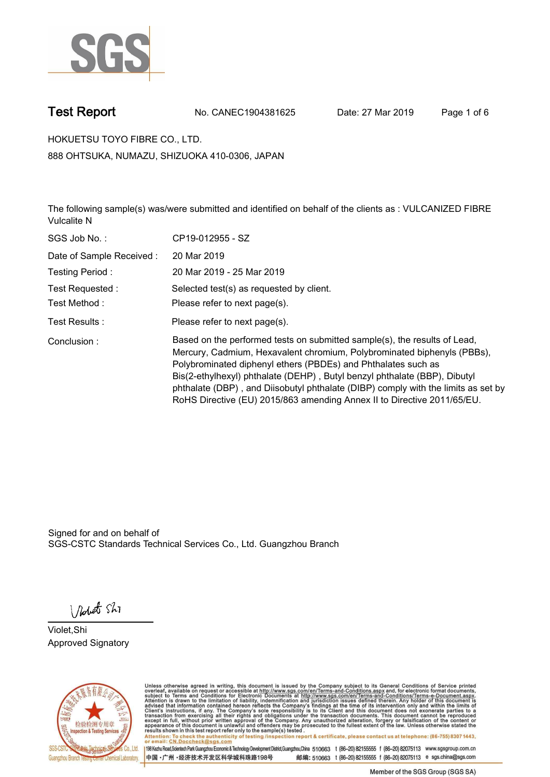

**Test Report. No. CANEC1904381625 Date: 27 Mar 2019. Page 1 of 6.**

**HOKUETSU TOYO FIBRE CO., LTD.. 888 OHTSUKA, NUMAZU, SHIZUOKA 410-0306, JAPAN**

**The following sample(s) was/were submitted and identified on behalf of the clients as : VULCANIZED FIBRE Vulcalite N.**

| SGS Job No.:             | CP19-012955 - SZ                                                                                                                                                                                                                                                                                                                                                                                                                                                   |
|--------------------------|--------------------------------------------------------------------------------------------------------------------------------------------------------------------------------------------------------------------------------------------------------------------------------------------------------------------------------------------------------------------------------------------------------------------------------------------------------------------|
| Date of Sample Received: | 20 Mar 2019                                                                                                                                                                                                                                                                                                                                                                                                                                                        |
| Testing Period:          | 20 Mar 2019 - 25 Mar 2019                                                                                                                                                                                                                                                                                                                                                                                                                                          |
| Test Requested :         | Selected test(s) as requested by client.                                                                                                                                                                                                                                                                                                                                                                                                                           |
| Test Method :            | Please refer to next page(s).                                                                                                                                                                                                                                                                                                                                                                                                                                      |
| Test Results :           | Please refer to next page(s).                                                                                                                                                                                                                                                                                                                                                                                                                                      |
| Conclusion:              | Based on the performed tests on submitted sample(s), the results of Lead,<br>Mercury, Cadmium, Hexavalent chromium, Polybrominated biphenyls (PBBs),<br>Polybrominated diphenyl ethers (PBDEs) and Phthalates such as<br>Bis(2-ethylhexyl) phthalate (DEHP), Butyl benzyl phthalate (BBP), Dibutyl<br>phthalate (DBP), and Diisobutyl phthalate (DIBP) comply with the limits as set by<br>RoHS Directive (EU) 2015/863 amending Annex II to Directive 2011/65/EU. |

Signed for and on behalf of SGS-CSTC Standards Technical Services Co., Ltd. Guangzhou Branch.

Nobet Shi

**Violet,Shi. Approved Signatory.**



Unless otherwise agreed in writing, this document is issued by the Company subject to its General Conditions of Service printed<br>overleaf, available on request or accessible at http://www.sgs.com/en/Terms-and-Conditions.asp Attention: To check the authenticity of testing /inspection report & certificate, please contact us at telephone: (86-755) 8307 1443,<br>Attention: To check the authenticity of testing /inspection report & certificate, please

198 Kezhu Road,Scientech Park Guangzhou Economic & Technology Development District,Guangzhou,China 510663 t (86-20) 82155555 f (86-20) 82075113 www.sgsgroup.com.cn 邮编: 510663 t (86-20) 82155555 f (86-20) 82075113 e sgs.china@sgs.com 中国·广州·经济技术开发区科学城科珠路198号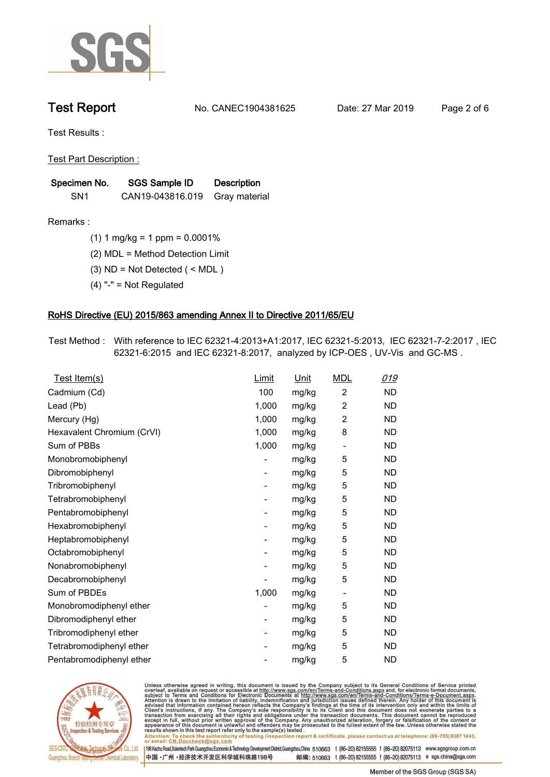

**Test Report. No. CANEC1904381625 Date: 27 Mar 2019. Page 2 of 6.**

**Test Results :.**

**Test Part Description :.**

| Specimen No.    | SGS Sample ID    | <b>Description</b> |  |
|-----------------|------------------|--------------------|--|
| SN <sub>1</sub> | CAN19-043816.019 | Gray material      |  |

**Remarks :.(1) 1 mg/kg = 1 ppm = 0.0001%.**

**(2) MDL = Method Detection Limit.**

- **(3) ND = Not Detected ( < MDL ).**
- **(4) "-" = Not Regulated.**

### **RoHS Directive (EU) 2015/863 amending Annex II to Directive 2011/65/EU.**

**Test Method :. With reference to IEC 62321-4:2013+A1:2017, IEC 62321-5:2013, IEC 62321-7-2:2017 , IEC 62321-6:2015 and IEC 62321-8:2017, analyzed by ICP-OES , UV-Vis and GC-MS ..**

| Test Item(s)               | <u>Limit</u> | <u>Unit</u> | <b>MDL</b>               | 019       |
|----------------------------|--------------|-------------|--------------------------|-----------|
| Cadmium (Cd)               | 100          | mg/kg       | $\overline{2}$           | <b>ND</b> |
| Lead (Pb)                  | 1,000        | mg/kg       | $\overline{c}$           | <b>ND</b> |
| Mercury (Hg)               | 1,000        | mg/kg       | 2                        | <b>ND</b> |
| Hexavalent Chromium (CrVI) | 1,000        | mg/kg       | 8                        | <b>ND</b> |
| Sum of PBBs                | 1,000        | mg/kg       | $\overline{\phantom{a}}$ | <b>ND</b> |
| Monobromobiphenyl          |              | mg/kg       | 5                        | <b>ND</b> |
| Dibromobiphenyl            | -            | mg/kg       | 5                        | <b>ND</b> |
| Tribromobiphenyl           | -            | mg/kg       | 5                        | <b>ND</b> |
| Tetrabromobiphenyl         |              | mg/kg       | 5                        | <b>ND</b> |
| Pentabromobiphenyl         | -            | mg/kg       | 5                        | <b>ND</b> |
| Hexabromobiphenyl          |              | mg/kg       | 5                        | ND        |
| Heptabromobiphenyl         | -            | mg/kg       | 5                        | <b>ND</b> |
| Octabromobiphenyl          |              | mg/kg       | 5                        | <b>ND</b> |
| Nonabromobiphenyl          |              | mg/kg       | 5                        | <b>ND</b> |
| Decabromobiphenyl          |              | mg/kg       | 5                        | <b>ND</b> |
| Sum of PBDEs               | 1,000        | mg/kg       | $\overline{\phantom{a}}$ | <b>ND</b> |
| Monobromodiphenyl ether    |              | mg/kg       | 5                        | <b>ND</b> |
| Dibromodiphenyl ether      | -            | mg/kg       | 5                        | <b>ND</b> |
| Tribromodiphenyl ether     | -            | mg/kg       | 5                        | <b>ND</b> |
| Tetrabromodiphenyl ether   |              | mg/kg       | 5                        | <b>ND</b> |
| Pentabromodiphenyl ether   |              | mg/kg       | 5                        | <b>ND</b> |
|                            |              |             |                          |           |



Unless otherwise agreed in writing, this document is issued by the Company subject to its General Conditions of Service printed<br>overleaf, available on request or accessible at http://www.sgs.com/en/Terms-and-Conditions.asp Attention: To check the authenticity of testing /inspection report & certificate, please contact us at telephone: (86-755) 8307 1443,<br>Attention: To check the authenticity of testing /inspection report & certificate, please

198 Kezhu Road,Scientech Park Guangzhou Economic & Technology Development District,Guangzhou,China 510663 t (86-20) 82155555 f (86-20) 82075113 www.sgsgroup.com.cn 邮编: 510663 t (86-20) 82155555 f (86-20) 82075113 e sgs.china@sgs.com 中国·广州·经济技术开发区科学城科珠路198号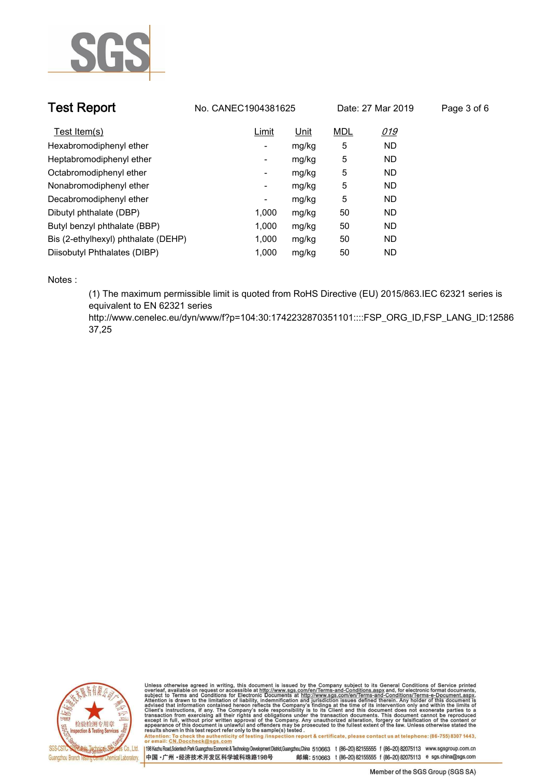

| <b>Test Report</b>                  | No. CANEC1904381625 |       | Date: 27 Mar 2019 |           | Page 3 of 6 |
|-------------------------------------|---------------------|-------|-------------------|-----------|-------------|
| Test Item(s)                        | Limit               | Unit  | <b>MDL</b>        | 019       |             |
| Hexabromodiphenyl ether             | -                   | mg/kg | 5                 | <b>ND</b> |             |
| Heptabromodiphenyl ether            | ۰                   | mg/kg | 5                 | <b>ND</b> |             |
| Octabromodiphenyl ether             | Ξ.                  | mg/kg | 5                 | <b>ND</b> |             |
| Nonabromodiphenyl ether             | -                   | mg/kg | 5                 | <b>ND</b> |             |
| Decabromodiphenyl ether             | ٠                   | mg/kg | 5                 | <b>ND</b> |             |
| Dibutyl phthalate (DBP)             | 1.000               | mg/kg | 50                | <b>ND</b> |             |
| Butyl benzyl phthalate (BBP)        | 1.000               | mg/kg | 50                | <b>ND</b> |             |
| Bis (2-ethylhexyl) phthalate (DEHP) | 1.000               | mg/kg | 50                | <b>ND</b> |             |
| Diisobutyl Phthalates (DIBP)        | 1.000               | mg/kg | 50                | <b>ND</b> |             |

**Notes :.**

**(1) The maximum permissible limit is quoted from RoHS Directive (EU) 2015/863.IEC 62321 series is equivalent to EN 62321 series** 

**http://www.cenelec.eu/dyn/www/f?p=104:30:1742232870351101::::FSP\_ORG\_ID,FSP\_LANG\_ID:12586 37,25.**



Unless otherwise agreed in writing, this document is issued by the Company subject to its General Conditions of Service printed<br>overleaf, available on request or accessible at http://www.sgs.com/en/Terms-and-Conditions.asp Attention: To check the authenticity of testing /inspection report & certificate, please contact us at telephone: (86-755) 8307 1443,<br>Attention: To check the authenticity of testing /inspection report & certificate, please

198 Kezhu Road,Scientech Park Guangzhou Economic & Technology Development District,Guangzhou,China 510663 t (86-20) 82155555 f (86-20) 82075113 www.sgsgroup.com.cn 中国·广州·经济技术开发区科学城科珠路198号 邮编: 510663 t (86-20) 82155555 f (86-20) 82075113 e sgs.china@sgs.com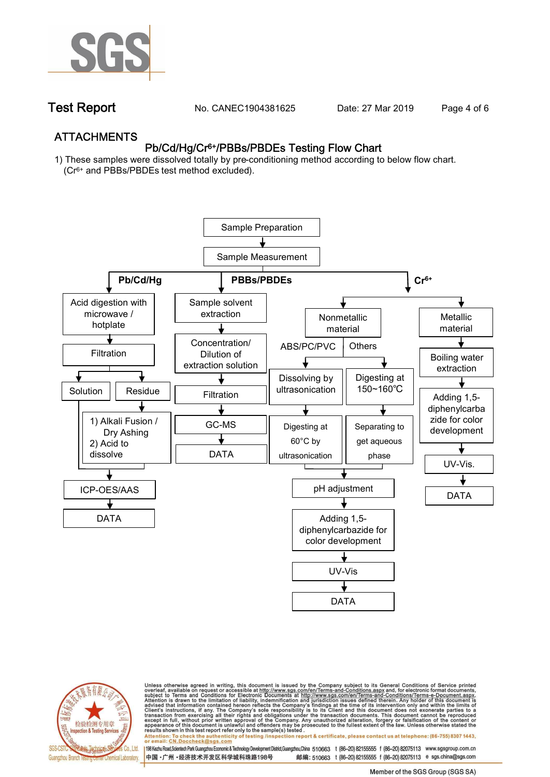

**Test Report. No. CANEC1904381625 Date: 27 Mar 2019. Page 4 of 6.**

## **ATTACHMENTS Pb/Cd/Hg/Cr6+/PBBs/PBDEs Testing Flow Chart**

**1) These samples were dissolved totally by pre-conditioning method according to below flow chart. (Cr6+ and PBBs/PBDEs test method excluded).**





Unless otherwise agreed in writing, this document is issued by the Company subject to its General Conditions of Service printed<br>overleaf, available on request or accessible at http://www.sgs.com/en/Terms-and-Conditions.asp

résults shown in this test report refer only to the sample(s) tésted .<br>Attention: To check the authenticity of testing /inspection report & certificate, please contact us at telephone: (86-755) 8307 1443,<br>or email: <u>CN.Doc</u>

198 Kezhu Road,Scientech Park Guangzhou Economic & Technology Development District,Guangzhou,China 510663 t (86-20) 82155555 f (86-20) 82075113 www.sgsgroup.com.cn 邮编: 510663 t (86-20) 82155555 f (86-20) 82075113 e sgs.china@sgs.com 中国·广州·经济技术开发区科学城科珠路198号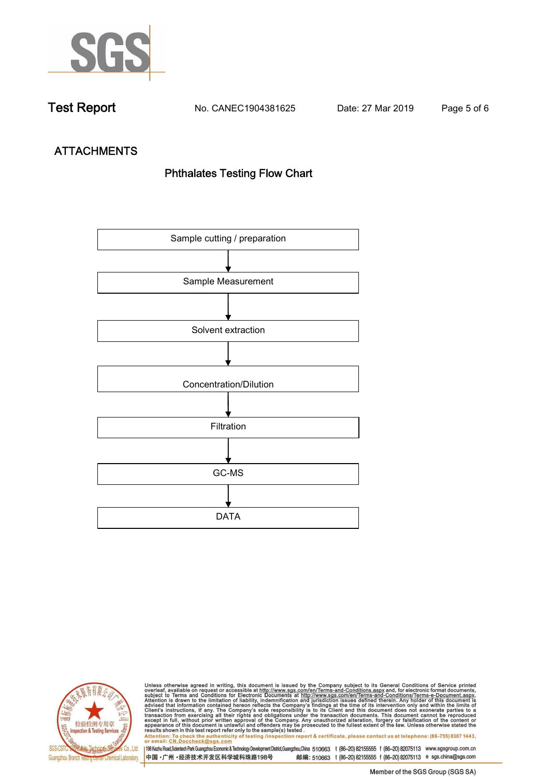

**Test Report. No. CANEC1904381625 Date: 27 Mar 2019. Page 5 of 6.**

# **ATTACHMENTS Phthalates Testing Flow Chart**





Unless otherwise agreed in writing, this document is issued by the Company subject to its General Conditions of Service printed<br>overleaf, available on request or accessible at http://www.sgs.com/en/Terms-and-Conditions.asp results shown in this test report refer only to the sample(s) tested .<br>Attention: To check the authenticity of testing /inspection report & certificate, please contact us at telephone: (86-755) 8307 1443,<br>or email: <u>CN.Doc</u>

198 Kezhu Road,Scientech Park Guangzhou Economic & Technology Development District,Guangzhou,China 510663 t (86-20) 82155555 f (86-20) 82075113 www.sgsgroup.com.cn 中国·广州·经济技术开发区科学城科珠路198号 邮编: 510663 t (86-20) 82155555 f (86-20) 82075113 e sgs.china@sgs.com